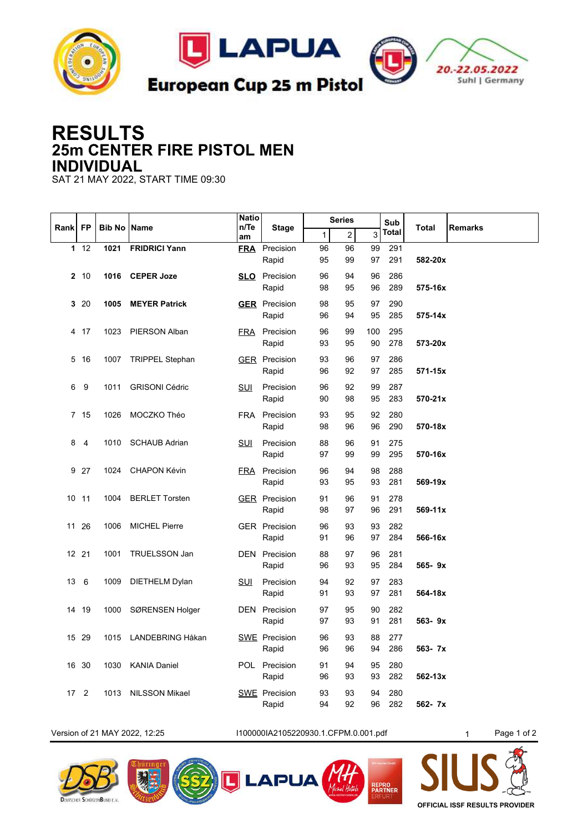

## **RESULTS 25m CENTER FIRE PISTOL MEN INDIVIDUAL**

SAT 21 MAY 2022, START TIME 09:30

|      | FP             | <b>Bib No IName</b> |                        | <b>Natio</b><br>$n$ Te<br>am | <b>Stage</b>                  | <b>Series</b> |                |           | Sub        |             | Remarks |
|------|----------------|---------------------|------------------------|------------------------------|-------------------------------|---------------|----------------|-----------|------------|-------------|---------|
| Rank |                |                     |                        |                              |                               | $\mathbf{1}$  | $\overline{c}$ | 3         | Total      | Total       |         |
|      | 112            | 1021                | <b>FRIDRICI Yann</b>   |                              | <b>FRA</b> Precision          | 96            | 96             | 99        | 291        |             |         |
|      |                |                     |                        |                              | Rapid                         | 95            | 99             | 97        | 291        | 582-20x     |         |
|      | 2, 10          | 1016                | <b>CEPER Joze</b>      |                              | <b>SLO</b> Precision          | 96            | 94             | 96        | 286        |             |         |
|      |                |                     |                        |                              | Rapid                         | 98            | 95             | 96        | 289        | 575-16x     |         |
|      | 320            | 1005                | <b>MEYER Patrick</b>   |                              | <b>GER</b> Precision          | 98            | 95             | 97        | 290        |             |         |
|      |                |                     |                        |                              | Rapid                         | 96            | 94             | 95        | 285        | $575 - 14x$ |         |
|      | 4 17           | 1023                | PIERSON Alban          |                              | <b>FRA</b> Precision<br>Rapid | 96<br>93      | 99<br>95       | 100<br>90 | 295<br>278 | 573-20x     |         |
|      |                |                     |                        |                              |                               |               |                |           |            |             |         |
| 5    | -16            | 1007                | <b>TRIPPEL Stephan</b> |                              | <b>GER</b> Precision<br>Rapid | 93<br>96      | 96<br>92       | 97<br>97  | 286<br>285 | 571-15x     |         |
| 6    | 9              | 1011                | <b>GRISONI Cédric</b>  | SUI                          | Precision                     | 96            | 92             | 99        | 287        |             |         |
|      |                |                     |                        |                              | Rapid                         | 90            | 98             | 95        | 283        | 570-21x     |         |
|      | 7 15           | 1026                | MOCZKO Théo            |                              | FRA Precision                 | 93            | 95             | 92        | 280        |             |         |
|      |                |                     |                        |                              | Rapid                         | 98            | 96             | 96        | 290        | 570-18x     |         |
| 8    | $\overline{4}$ | 1010                | <b>SCHAUB Adrian</b>   | <b>SUI</b>                   | Precision                     | 88            | 96             | 91        | 275        |             |         |
|      |                |                     |                        |                              | Rapid                         | 97            | 99             | 99        | 295        | 570-16x     |         |
|      | 9 27           | 1024                | <b>CHAPON Kévin</b>    |                              | FRA Precision                 | 96            | 94             | 98        | 288        |             |         |
|      |                |                     |                        |                              | Rapid                         | 93            | 95             | 93        | 281        | 569-19x     |         |
|      | 10 11          | 1004                | <b>BERLET Torsten</b>  |                              | <b>GER</b> Precision          | 91            | 96             | 91        | 278        |             |         |
|      |                |                     |                        |                              | Rapid                         | 98            | 97             | 96        | 291        | 569-11x     |         |
| 11   | 26             | 1006                | <b>MICHEL Pierre</b>   |                              | <b>GER</b> Precision          | 96            | 93             | 93        | 282        |             |         |
|      |                |                     |                        |                              | Rapid                         | 91            | 96             | 97        | 284        | 566-16x     |         |
|      | 12 21          | 1001                | TRUELSSON Jan          |                              | <b>DEN</b> Precision          | 88<br>96      | 97<br>93       | 96<br>95  | 281<br>284 | 565-9x      |         |
|      |                |                     |                        |                              | Rapid                         |               |                |           |            |             |         |
| 13   | 6              | 1009                | DIETHELM Dylan         | <u>SUI</u>                   | Precision<br>Rapid            | 94<br>91      | 92<br>93       | 97<br>97  | 283<br>281 | 564-18x     |         |
|      | 14 19          | 1000                |                        |                              | <b>DEN</b> Precision          | 97            | 95             | 90        | 282        |             |         |
|      |                |                     | SØRENSEN Holger        |                              | Rapid                         | 97            | 93             | 91        | 281        | $563 - 9x$  |         |
|      | 15 29          | 1015                | LANDEBRING Håkan       |                              | <b>SWE</b> Precision          | 96            | 93             | 88        | 277        |             |         |
|      |                |                     |                        |                              | Rapid                         | 96            | 96             | 94        | 286        | 563- 7x     |         |
|      | 16 30          | 1030                | <b>KANIA Daniel</b>    |                              | POL Precision                 | 91            | 94             | 95        | 280        |             |         |
|      |                |                     |                        |                              | Rapid                         | 96            | 93             | 93        | 282        | 562-13x     |         |
| 17   | 2              | 1013                | <b>NILSSON Mikael</b>  |                              | <b>SWE</b> Precision          | 93            | 93             | 94        | 280        |             |         |
|      |                |                     |                        |                              | Rapid                         | 94            | 92             | 96        | 282        | 562- 7x     |         |

Version of 21 MAY 2022, 12:25 I100000IA2105220930.1.CFPM.0.001.pdf 1 Page 1 of 2